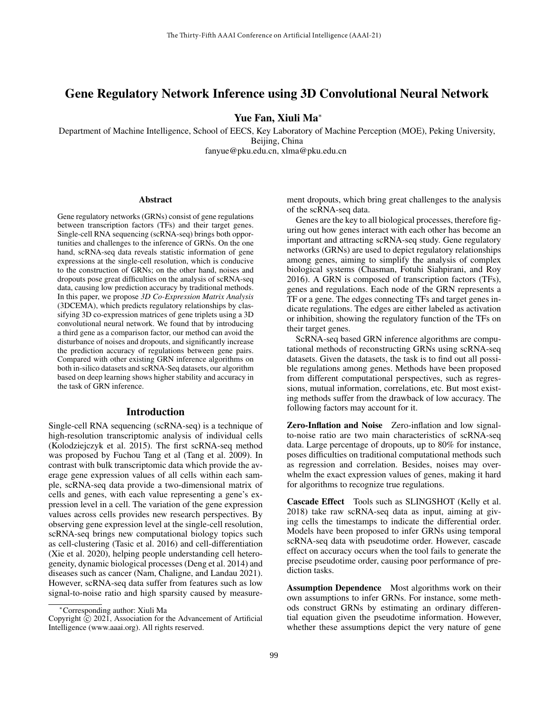# Gene Regulatory Network Inference using 3D Convolutional Neural Network

## Yue Fan, Xiuli Ma<sup>∗</sup>

Department of Machine Intelligence, School of EECS, Key Laboratory of Machine Perception (MOE), Peking University, Beijing, China fanyue@pku.edu.cn, xlma@pku.edu.cn

#### Abstract

Gene regulatory networks (GRNs) consist of gene regulations between transcription factors (TFs) and their target genes. Single-cell RNA sequencing (scRNA-seq) brings both opportunities and challenges to the inference of GRNs. On the one hand, scRNA-seq data reveals statistic information of gene expressions at the single-cell resolution, which is conducive to the construction of GRNs; on the other hand, noises and dropouts pose great difficulties on the analysis of scRNA-seq data, causing low prediction accuracy by traditional methods. In this paper, we propose *3D Co-Expression Matrix Analysis* (3DCEMA), which predicts regulatory relationships by classifying 3D co-expression matrices of gene triplets using a 3D convolutional neural network. We found that by introducing a third gene as a comparison factor, our method can avoid the disturbance of noises and dropouts, and significantly increase the prediction accuracy of regulations between gene pairs. Compared with other existing GRN inference algorithms on both in-silico datasets and scRNA-Seq datasets, our algorithm based on deep learning shows higher stability and accuracy in the task of GRN inference.

### Introduction

Single-cell RNA sequencing (scRNA-seq) is a technique of high-resolution transcriptomic analysis of individual cells (Kolodziejczyk et al. 2015). The first scRNA-seq method was proposed by Fuchou Tang et al (Tang et al. 2009). In contrast with bulk transcriptomic data which provide the average gene expression values of all cells within each sample, scRNA-seq data provide a two-dimensional matrix of cells and genes, with each value representing a gene's expression level in a cell. The variation of the gene expression values across cells provides new research perspectives. By observing gene expression level at the single-cell resolution, scRNA-seq brings new computational biology topics such as cell-clustering (Tasic et al. 2016) and cell-differentiation (Xie et al. 2020), helping people understanding cell heterogeneity, dynamic biological processes (Deng et al. 2014) and diseases such as cancer (Nam, Chaligne, and Landau 2021). However, scRNA-seq data suffer from features such as low signal-to-noise ratio and high sparsity caused by measurement dropouts, which bring great challenges to the analysis of the scRNA-seq data.

Genes are the key to all biological processes, therefore figuring out how genes interact with each other has become an important and attracting scRNA-seq study. Gene regulatory networks (GRNs) are used to depict regulatory relationships among genes, aiming to simplify the analysis of complex biological systems (Chasman, Fotuhi Siahpirani, and Roy 2016). A GRN is composed of transcription factors (TFs), genes and regulations. Each node of the GRN represents a TF or a gene. The edges connecting TFs and target genes indicate regulations. The edges are either labeled as activation or inhibition, showing the regulatory function of the TFs on their target genes.

ScRNA-seq based GRN inference algorithms are computational methods of reconstructing GRNs using scRNA-seq datasets. Given the datasets, the task is to find out all possible regulations among genes. Methods have been proposed from different computational perspectives, such as regressions, mutual information, correlations, etc. But most existing methods suffer from the drawback of low accuracy. The following factors may account for it.

Zero-Inflation and Noise Zero-inflation and low signalto-noise ratio are two main characteristics of scRNA-seq data. Large percentage of dropouts, up to 80% for instance, poses difficulties on traditional computational methods such as regression and correlation. Besides, noises may overwhelm the exact expression values of genes, making it hard for algorithms to recognize true regulations.

Cascade Effect Tools such as SLINGSHOT (Kelly et al. 2018) take raw scRNA-seq data as input, aiming at giving cells the timestamps to indicate the differential order. Models have been proposed to infer GRNs using temporal scRNA-seq data with pseudotime order. However, cascade effect on accuracy occurs when the tool fails to generate the precise pseudotime order, causing poor performance of prediction tasks.

Assumption Dependence Most algorithms work on their own assumptions to infer GRNs. For instance, some methods construct GRNs by estimating an ordinary differential equation given the pseudotime information. However, whether these assumptions depict the very nature of gene

<sup>∗</sup>Corresponding author: Xiuli Ma

Copyright  $\overline{c}$  2021, Association for the Advancement of Artificial Intelligence (www.aaai.org). All rights reserved.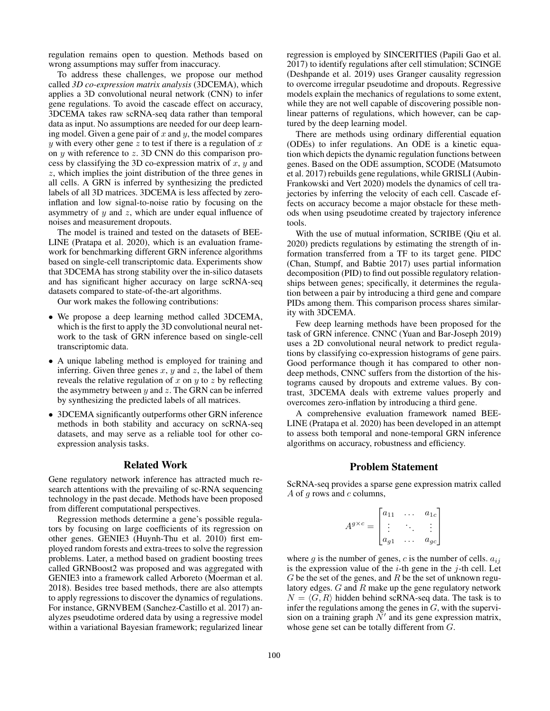regulation remains open to question. Methods based on wrong assumptions may suffer from inaccuracy.

To address these challenges, we propose our method called *3D co-expression matrix analysis* (3DCEMA), which applies a 3D convolutional neural network (CNN) to infer gene regulations. To avoid the cascade effect on accuracy, 3DCEMA takes raw scRNA-seq data rather than temporal data as input. No assumptions are needed for our deep learning model. Given a gene pair of  $x$  and  $y$ , the model compares y with every other gene z to test if there is a regulation of  $x$ on y with reference to z. 3D CNN do this comparison process by classifying the 3D co-expression matrix of  $x, y$  and z, which implies the joint distribution of the three genes in all cells. A GRN is inferred by synthesizing the predicted labels of all 3D matrices. 3DCEMA is less affected by zeroinflation and low signal-to-noise ratio by focusing on the asymmetry of  $y$  and  $z$ , which are under equal influence of noises and measurement dropouts.

The model is trained and tested on the datasets of BEE-LINE (Pratapa et al. 2020), which is an evaluation framework for benchmarking different GRN inference algorithms based on single-cell transcriptomic data. Experiments show that 3DCEMA has strong stability over the in-silico datasets and has significant higher accuracy on large scRNA-seq datasets compared to state-of-the-art algorithms.

Our work makes the following contributions:

- We propose a deep learning method called 3DCEMA, which is the first to apply the 3D convolutional neural network to the task of GRN inference based on single-cell transcriptomic data.
- A unique labeling method is employed for training and inferring. Given three genes  $x, y$  and  $z$ , the label of them reveals the relative regulation of  $x$  on  $y$  to  $z$  by reflecting the asymmetry between  $y$  and  $z$ . The GRN can be inferred by synthesizing the predicted labels of all matrices.
- 3DCEMA significantly outperforms other GRN inference methods in both stability and accuracy on scRNA-seq datasets, and may serve as a reliable tool for other coexpression analysis tasks.

### Related Work

Gene regulatory network inference has attracted much research attentions with the prevailing of sc-RNA sequencing technology in the past decade. Methods have been proposed from different computational perspectives.

Regression methods determine a gene's possible regulators by focusing on large coefficients of its regression on other genes. GENIE3 (Huynh-Thu et al. 2010) first employed random forests and extra-trees to solve the regression problems. Later, a method based on gradient boosting trees called GRNBoost2 was proposed and was aggregated with GENIE3 into a framework called Arboreto (Moerman et al. 2018). Besides tree based methods, there are also attempts to apply regressions to discover the dynamics of regulations. For instance, GRNVBEM (Sanchez-Castillo et al. 2017) analyzes pseudotime ordered data by using a regressive model within a variational Bayesian framework; regularized linear

regression is employed by SINCERITIES (Papili Gao et al. 2017) to identify regulations after cell stimulation; SCINGE (Deshpande et al. 2019) uses Granger causality regression to overcome irregular pseudotime and dropouts. Regressive models explain the mechanics of regulations to some extent, while they are not well capable of discovering possible nonlinear patterns of regulations, which however, can be captured by the deep learning model.

There are methods using ordinary differential equation (ODEs) to infer regulations. An ODE is a kinetic equation which depicts the dynamic regulation functions between genes. Based on the ODE assumption, SCODE (Matsumoto et al. 2017) rebuilds gene regulations, while GRISLI (Aubin-Frankowski and Vert 2020) models the dynamics of cell trajectories by inferring the velocity of each cell. Cascade effects on accuracy become a major obstacle for these methods when using pseudotime created by trajectory inference tools.

With the use of mutual information, SCRIBE (Qiu et al. 2020) predicts regulations by estimating the strength of information transferred from a TF to its target gene. PIDC (Chan, Stumpf, and Babtie 2017) uses partial information decomposition (PID) to find out possible regulatory relationships between genes; specifically, it determines the regulation between a pair by introducing a third gene and compare PIDs among them. This comparison process shares similarity with 3DCEMA.

Few deep learning methods have been proposed for the task of GRN inference. CNNC (Yuan and Bar-Joseph 2019) uses a 2D convolutional neural network to predict regulations by classifying co-expression histograms of gene pairs. Good performance though it has compared to other nondeep methods, CNNC suffers from the distortion of the histograms caused by dropouts and extreme values. By contrast, 3DCEMA deals with extreme values properly and overcomes zero-inflation by introducing a third gene.

A comprehensive evaluation framework named BEE-LINE (Pratapa et al. 2020) has been developed in an attempt to assess both temporal and none-temporal GRN inference algorithms on accuracy, robustness and efficiency.

### Problem Statement

ScRNA-seq provides a sparse gene expression matrix called A of  $g$  rows and  $c$  columns,

$$
A^{g \times c} = \begin{bmatrix} a_{11} & \dots & a_{1c} \\ \vdots & \ddots & \vdots \\ a_{g1} & \dots & a_{gc} \end{bmatrix}
$$

where g is the number of genes, c is the number of cells.  $a_{ij}$ is the expression value of the  $i$ -th gene in the  $j$ -th cell. Let  $G$  be the set of the genes, and  $R$  be the set of unknown regulatory edges.  $G$  and  $R$  make up the gene regulatory network  $N = \langle G, R \rangle$  hidden behind scRNA-seq data. The task is to infer the regulations among the genes in  $G$ , with the supervision on a training graph  $N'$  and its gene expression matrix, whose gene set can be totally different from G.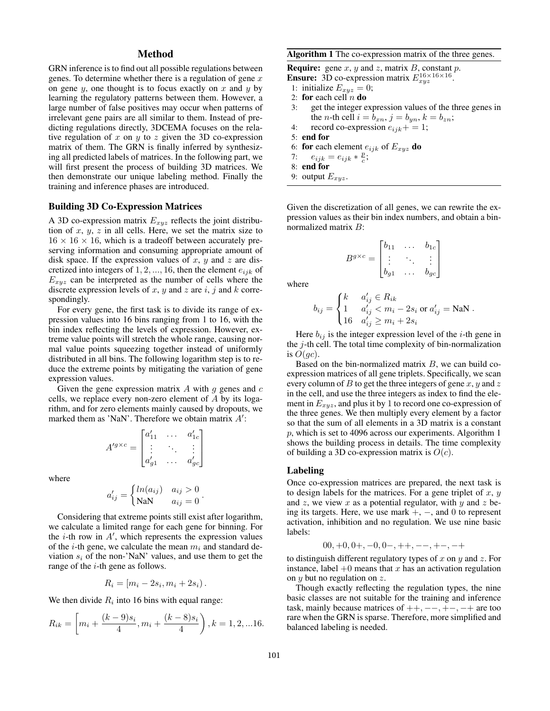## Method

GRN inference is to find out all possible regulations between genes. To determine whether there is a regulation of gene  $x$ on gene  $y$ , one thought is to focus exactly on  $x$  and  $y$  by learning the regulatory patterns between them. However, a large number of false positives may occur when patterns of irrelevant gene pairs are all similar to them. Instead of predicting regulations directly, 3DCEMA focuses on the relative regulation of x on y to z given the 3D co-expression matrix of them. The GRN is finally inferred by synthesizing all predicted labels of matrices. In the following part, we will first present the process of building 3D matrices. We then demonstrate our unique labeling method. Finally the training and inference phases are introduced.

### Building 3D Co-Expression Matrices

A 3D co-expression matrix  $E_{xyz}$  reflects the joint distribution of  $x, y, z$  in all cells. Here, we set the matrix size to  $16 \times 16 \times 16$ , which is a tradeoff between accurately preserving information and consuming appropriate amount of disk space. If the expression values of x, y and z are discretized into integers of  $1, 2, ..., 16$ , then the element  $e_{ijk}$  of  $E_{xyz}$  can be interpreted as the number of cells where the discrete expression levels of  $x$ ,  $y$  and  $z$  are  $i$ ,  $j$  and  $k$  correspondingly.

For every gene, the first task is to divide its range of expression values into 16 bins ranging from 1 to 16, with the bin index reflecting the levels of expression. However, extreme value points will stretch the whole range, causing normal value points squeezing together instead of uniformly distributed in all bins. The following logarithm step is to reduce the extreme points by mitigating the variation of gene expression values.

Given the gene expression matrix  $A$  with  $g$  genes and  $c$ cells, we replace every non-zero element of A by its logarithm, and for zero elements mainly caused by dropouts, we marked them as 'NaN'. Therefore we obtain matrix  $A'$ :

$$
A'^{g \times c} = \begin{bmatrix} a'_{11} & \dots & a'_{1c} \\ \vdots & \ddots & \vdots \\ a'_{g1} & \dots & a'_{gc} \end{bmatrix}
$$

where

$$
a'_{ij} = \begin{cases} ln(a_{ij}) & a_{ij} > 0 \\ \text{NaN} & a_{ij} = 0 \end{cases}.
$$

Considering that extreme points still exist after logarithm, we calculate a limited range for each gene for binning. For the  $i$ -th row in  $A'$ , which represents the expression values of the *i*-th gene, we calculate the mean  $m_i$  and standard deviation  $s_i$  of the non-'NaN' values, and use them to get the range of the  $i$ -th gene as follows.

$$
R_i = [m_i - 2s_i, m_i + 2s_i).
$$

We then divide  $R_i$  into 16 bins with equal range:

$$
R_{ik} = \left[ m_i + \frac{(k-9)s_i}{4}, m_i + \frac{(k-8)s_i}{4} \right), k = 1, 2, \dots 16.
$$

### Algorithm 1 The co-expression matrix of the three genes.

**Require:** gene  $x$ ,  $y$  and  $z$ , matrix  $B$ , constant  $p$ . **Ensure:** 3D co-expression matrix  $E_{xyz}^{16\times16\times16}$ .

- 1: initialize  $E_{xyz} = 0$ ;
- 2: for each cell  $n$  do
- 3: get the integer expression values of the three genes in the *n*-th cell  $i = b_{xn}$ ,  $j = b_{yn}$ ,  $k = b_{zn}$ ;
- 4: record co-expression  $e_{ijk}$  + = 1;
- 5: end for
- 6: **for** each element  $e_{ijk}$  of  $E_{xyz}$  **do**<br>7:  $e_{ijk} = e_{ijk} * \frac{p}{i}$ :
- 7:  $e_{ijk} = e_{ijk} * \frac{p}{c};$
- 8: end for
- 9: output  $E_{xyz}$ .

Given the discretization of all genes, we can rewrite the expression values as their bin index numbers, and obtain a binnormalized matrix B:

$$
B^{g \times c} = \begin{bmatrix} b_{11} & \dots & b_{1c} \\ \vdots & \ddots & \vdots \\ b_{g1} & \dots & b_{gc} \end{bmatrix}
$$

where

$$
b_{ij} = \begin{cases} k & a'_{ij} \in R_{ik} \\ 1 & a'_{ij} < m_i - 2s_i \text{ or } a'_{ij} = \text{NaN} \\ 16 & a'_{ij} \ge m_i + 2s_i \end{cases}.
$$

Here  $b_{ij}$  is the integer expression level of the *i*-th gene in the  $j$ -th cell. The total time complexity of bin-normalization is  $O(qc)$ .

Based on the bin-normalized matrix  $B$ , we can build coexpression matrices of all gene triplets. Specifically, we scan every column of  $B$  to get the three integers of gene  $x, y$  and  $z$ in the cell, and use the three integers as index to find the element in  $E_{xyz}$ , and plus it by 1 to record one co-expression of the three genes. We then multiply every element by a factor so that the sum of all elements in a 3D matrix is a constant p, which is set to 4096 across our experiments. Algorithm 1 shows the building process in details. The time complexity of building a 3D co-expression matrix is  $O(c)$ .

#### Labeling

Once co-expression matrices are prepared, the next task is to design labels for the matrices. For a gene triplet of  $x, y$ and  $z$ , we view  $x$  as a potential regulator, with  $y$  and  $z$  being its targets. Here, we use mark +, −, and 0 to represent activation, inhibition and no regulation. We use nine basic labels:

$$
00, +0, 0+, -0, 0-, ++, --, +-, -+
$$

to distinguish different regulatory types of x on y and z. For instance, label  $+0$  means that x has an activation regulation on y but no regulation on z.

Though exactly reflecting the regulation types, the nine basic classes are not suitable for the training and inference task, mainly because matrices of  $++, --, +-, -+$  are too rare when the GRN is sparse. Therefore, more simplified and balanced labeling is needed.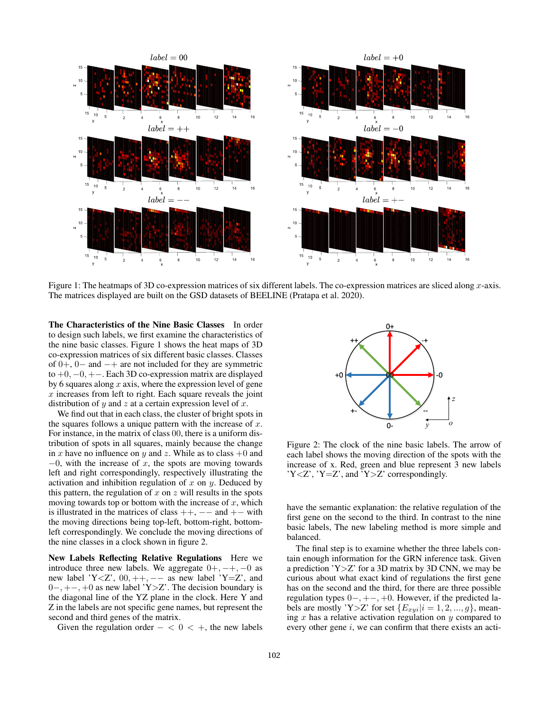

Figure 1: The heatmaps of 3D co-expression matrices of six different labels. The co-expression matrices are sliced along  $x$ -axis. The matrices displayed are built on the GSD datasets of BEELINE (Pratapa et al. 2020).

The Characteristics of the Nine Basic Classes In order to design such labels, we first examine the characteristics of the nine basic classes. Figure 1 shows the heat maps of 3D co-expression matrices of six different basic classes. Classes of  $0+, 0-$  and  $-+$  are not included for they are symmetric to +0, −0, +−. Each 3D co-expression matrix are displayed by 6 squares along  $x$  axis, where the expression level of gene  $x$  increases from left to right. Each square reveals the joint distribution of y and z at a certain expression level of x.

We find out that in each class, the cluster of bright spots in the squares follows a unique pattern with the increase of  $x$ . For instance, in the matrix of class 00, there is a uniform distribution of spots in all squares, mainly because the change in x have no influence on y and z. While as to class  $+0$  and  $-0$ , with the increase of x, the spots are moving towards left and right correspondingly, respectively illustrating the activation and inhibition regulation of  $x$  on  $y$ . Deduced by this pattern, the regulation of  $x$  on  $z$  will results in the spots moving towards top or bottom with the increase of  $x$ , which is illustrated in the matrices of class  $++$ ,  $--$  and  $+-$  with the moving directions being top-left, bottom-right, bottomleft correspondingly. We conclude the moving directions of the nine classes in a clock shown in figure 2.

New Labels Reflecting Relative Regulations Here we introduce three new labels. We aggregate  $0+, -+,-0$  as new label 'Y<Z',  $00, ++, --$  as new label 'Y=Z', and 0−, +−, +0 as new label 'Y>Z'. The decision boundary is the diagonal line of the YZ plane in the clock. Here Y and Z in the labels are not specific gene names, but represent the second and third genes of the matrix.

Given the regulation order  $- < 0 < +$ , the new labels



Figure 2: The clock of the nine basic labels. The arrow of each label shows the moving direction of the spots with the increase of x. Red, green and blue represent 3 new labels 'Y<Z', 'Y=Z', and 'Y>Z' correspondingly.

have the semantic explanation: the relative regulation of the first gene on the second to the third. In contrast to the nine basic labels, The new labeling method is more simple and balanced.

The final step is to examine whether the three labels contain enough information for the GRN inference task. Given a prediction  $Y>Z'$  for a 3D matrix by 3D CNN, we may be curious about what exact kind of regulations the first gene has on the second and the third, for there are three possible regulation types 0−, +−, +0. However, if the predicted labels are mostly 'Y>Z' for set  $\{E_{xui}|i=1,2,...,g\}$ , meaning  $x$  has a relative activation regulation on  $y$  compared to every other gene  $i$ , we can confirm that there exists an acti-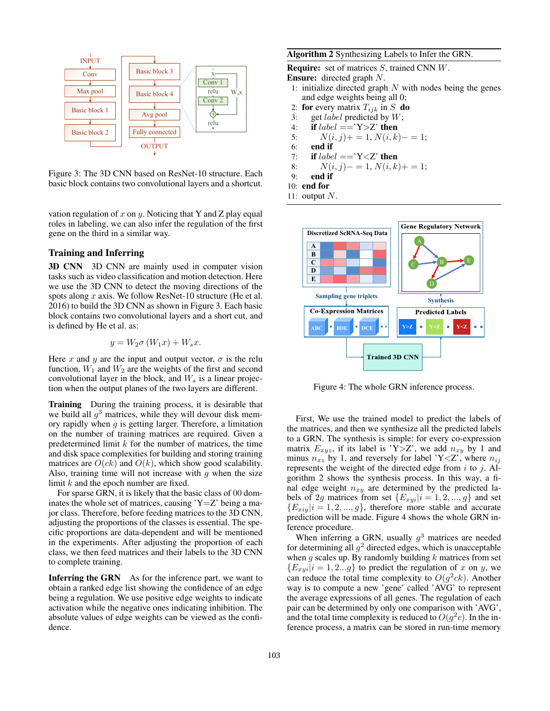

Figure 3: The 3D CNN based on ResNet-10 structure. Each basic block contains two convolutional layers and a shortcut.

vation regulation of x on y. Noticing that Y and Z play equal roles in labeling, we can also infer the regulation of the first gene on the third in a similar way.

### Training and Inferring

3D CNN 3D CNN are mainly used in computer vision tasks such as video classification and motion detection. Here we use the 3D CNN to detect the moving directions of the spots along  $x$  axis. We follow ResNet-10 structure (He et al. 2016) to build the 3D CNN as shown in Figure 3. Each basic block contains two convolutional layers and a short cut, and is defined by He et al. as:

$$
y = W_2 \sigma (W_1 x) + W_s x.
$$

Here x and y are the input and output vector,  $\sigma$  is the relu function,  $W_1$  and  $W_2$  are the weights of the first and second convolutional layer in the block, and  $W_s$  is a linear projection when the output planes of the two layers are different.

Training During the training process, it is desirable that we build all  $g^3$  matrices, while they will devour disk memory rapidly when  $g$  is getting larger. Therefore, a limitation on the number of training matrices are required. Given a predetermined limit  $k$  for the number of matrices, the time and disk space complexities for building and storing training matrices are  $O(ck)$  and  $O(k)$ , which show good scalability. Also, training time will not increase with  $q$  when the size limit k and the epoch number are fixed.

For sparse GRN, it is likely that the basic class of 00 dominates the whole set of matrices, causing  $Y=Z'$  being a major class. Therefore, before feeding matrices to the 3D CNN, adjusting the proportions of the classes is essential. The specific proportions are data-dependent and will be mentioned in the experiments. After adjusting the proportion of each class, we then feed matrices and their labels to the 3D CNN to complete training.

Inferring the GRN As for the inference part, we want to obtain a ranked edge list showing the confidence of an edge being a regulation. We use positive edge weights to indicate activation while the negative ones indicating inhibition. The absolute values of edge weights can be viewed as the confidence.

### Algorithm 2 Synthesizing Labels to Infer the GRN.

Require: set of matrices S, trained CNN W.

 $\frac{x}{x}$  Ensure: directed graph N.

- $\frac{1}{\text{Conv 2}}$  and edge weights being all 0;  $\frac{1}{\text{relu}}$   $\begin{bmatrix} 1 \\ W_{sX} \end{bmatrix}$  1: initialize directed graph N with nodes being the genes
	- 2: **for** every matrix  $T_{ijk}$  in S **do**<br>3: get *label* predicted by W;
	- $\overrightarrow{3}$ : get *label* predicted by W;
- relu<br>  $\begin{array}{ccc}\n\cdot & \cdot & \cdot \\
\cdot & \cdot & \text{if } label == 'Y > Z' \text{ then}\n\end{array}$ 
	- $N(i, j)$ + = 1,  $N(i, k)$  = 1;
	- end if
	- 7: if  $label =$  =  $YZ$  then

8: 
$$
N(i, j) - 1, N(i, k) + 1;
$$

9: end if

10: end for

11: output  $N$ .



Figure 4: The whole GRN inference process.

First, We use the trained model to predict the labels of the matrices, and then we synthesize all the predicted labels to a GRN. The synthesis is simple: for every co-expression matrix  $E_{xyz}$ , if its label is 'Y>Z', we add  $n_{xy}$  by 1 and minus  $n_{xz}$  by 1, and reversely for label 'Y<Z', where  $n_{ij}$ represents the weight of the directed edge from  $i$  to  $j$ . Algorithm 2 shows the synthesis process. In this way, a final edge weight  $n_{xy}$  are determined by the predicted labels of 2g matrices from set  $\{E_{xyi}|i=1,2,...,g\}$  and set  ${E_{xiy}}|i = 1, 2, ..., g$ , therefore more stable and accurate prediction will be made. Figure 4 shows the whole GRN inference procedure.

When inferring a GRN, usually  $g^3$  matrices are needed for determining all  $g^2$  directed edges, which is unacceptable when  $g$  scales up. By randomly building  $k$  matrices from set  ${E_{xyi}|i = 1, 2...g}$  to predict the regulation of x on y, we can reduce the total time complexity to  $O(g^2 c k)$ . Another way is to compute a new 'gene' called 'AVG' to represent the average expressions of all genes. The regulation of each pair can be determined by only one comparison with 'AVG', and the total time complexity is reduced to  $O(g^2c)$ . In the inference process, a matrix can be stored in run-time memory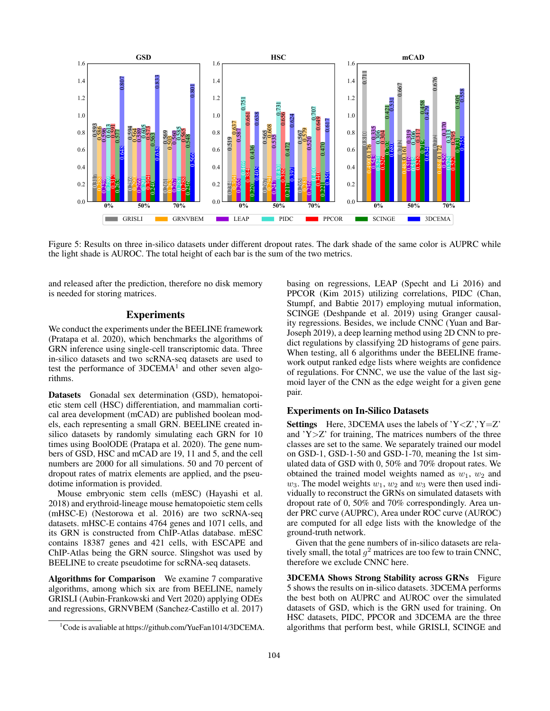

Figure 5: Results on three in-silico datasets under different dropout rates. The dark shade of the same color is AUPRC while the light shade is AUROC. The total height of each bar is the sum of the two metrics.

and released after the prediction, therefore no disk memory is needed for storing matrices.

## Experiments

We conduct the experiments under the BEELINE framework (Pratapa et al. 2020), which benchmarks the algorithms of GRN inference using single-cell transcriptomic data. Three in-silico datasets and two scRNA-seq datasets are used to test the performance of  $3DCEMA<sup>1</sup>$  and other seven algorithms.

Datasets Gonadal sex determination (GSD), hematopoietic stem cell (HSC) differentiation, and mammalian cortical area development (mCAD) are published boolean models, each representing a small GRN. BEELINE created insilico datasets by randomly simulating each GRN for 10 times using BoolODE (Pratapa et al. 2020). The gene numbers of GSD, HSC and mCAD are 19, 11 and 5, and the cell numbers are 2000 for all simulations. 50 and 70 percent of dropout rates of matrix elements are applied, and the pseudotime information is provided.

Mouse embryonic stem cells (mESC) (Hayashi et al. 2018) and erythroid-lineage mouse hematopoietic stem cells (mHSC-E) (Nestorowa et al. 2016) are two scRNA-seq datasets. mHSC-E contains 4764 genes and 1071 cells, and its GRN is constructed from ChIP-Atlas database. mESC contains 18387 genes and 421 cells, with ESCAPE and ChIP-Atlas being the GRN source. Slingshot was used by BEELINE to create pseudotime for scRNA-seq datasets.

Algorithms for Comparison We examine 7 comparative algorithms, among which six are from BEELINE, namely GRISLI (Aubin-Frankowski and Vert 2020) applying ODEs and regressions, GRNVBEM (Sanchez-Castillo et al. 2017)

basing on regressions, LEAP (Specht and Li 2016) and PPCOR (Kim 2015) utilizing correlations, PIDC (Chan, Stumpf, and Babtie 2017) employing mutual information, SCINGE (Deshpande et al. 2019) using Granger causality regressions. Besides, we include CNNC (Yuan and Bar-Joseph 2019), a deep learning method using 2D CNN to predict regulations by classifying 2D histograms of gene pairs. When testing, all 6 algorithms under the BEELINE framework output ranked edge lists where weights are confidence of regulations. For CNNC, we use the value of the last sigmoid layer of the CNN as the edge weight for a given gene pair.

### Experiments on In-Silico Datasets

**Settings** Here, 3DCEMA uses the labels of  $Y \le Z$ ,  $Y = Z'$ and 'Y>Z' for training, The matrices numbers of the three classes are set to the same. We separately trained our model on GSD-1, GSD-1-50 and GSD-1-70, meaning the 1st simulated data of GSD with 0, 50% and 70% dropout rates. We obtained the trained model weights named as  $w_1$ ,  $w_2$  and  $w_3$ . The model weights  $w_1, w_2$  and  $w_3$  were then used individually to reconstruct the GRNs on simulated datasets with dropout rate of 0, 50% and 70% correspondingly. Area under PRC curve (AUPRC), Area under ROC curve (AUROC) are computed for all edge lists with the knowledge of the ground-truth network.

Given that the gene numbers of in-silico datasets are relatively small, the total  $g^2$  matrices are too few to train CNNC, therefore we exclude CNNC here.

3DCEMA Shows Strong Stability across GRNs Figure 5 shows the results on in-silico datasets. 3DCEMA performs the best both on AUPRC and AUROC over the simulated datasets of GSD, which is the GRN used for training. On HSC datasets, PIDC, PPCOR and 3DCEMA are the three algorithms that perform best, while GRISLI, SCINGE and

 $1^1$ Code is avaliable at https://github.com/YueFan1014/3DCEMA.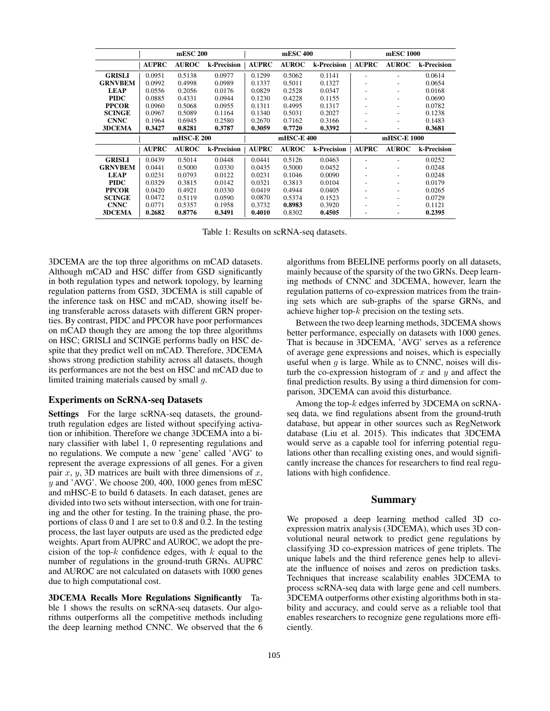|                | mESC 200     |              |             | mESC 400     |              |             | mESC 1000      |                          |             |
|----------------|--------------|--------------|-------------|--------------|--------------|-------------|----------------|--------------------------|-------------|
|                | <b>AUPRC</b> | <b>AUROC</b> | k-Precision | <b>AUPRC</b> | <b>AUROC</b> | k-Precision | <b>AUPRC</b>   | <b>AUROC</b>             | k-Precision |
| <b>GRISLI</b>  | 0.0951       | 0.5138       | 0.0977      | 0.1299       | 0.5062       | 0.1141      | $\overline{a}$ |                          | 0.0614      |
| <b>GRNVBEM</b> | 0.0992       | 0.4998       | 0.0989      | 0.1337       | 0.5011       | 0.1327      |                |                          | 0.0654      |
| <b>LEAP</b>    | 0.0556       | 0.2056       | 0.0176      | 0.0829       | 0.2528       | 0.0347      |                |                          | 0.0168      |
| <b>PIDC</b>    | 0.0885       | 0.4331       | 0.0944      | 0.1230       | 0.4228       | 0.1155      |                | $\overline{\phantom{0}}$ | 0.0690      |
| <b>PPCOR</b>   | 0.0960       | 0.5068       | 0.0955      | 0.1311       | 0.4995       | 0.1317      |                |                          | 0.0782      |
| <b>SCINGE</b>  | 0.0967       | 0.5089       | 0.1164      | 0.1340       | 0.5031       | 0.2027      |                |                          | 0.1238      |
| <b>CNNC</b>    | 0.1964       | 0.6945       | 0.2580      | 0.2670       | 0.7162       | 0.3166      | ۰              |                          | 0.1483      |
| <b>3DCEMA</b>  | 0.3427       | 0.8281       | 0.3787      | 0.3059       | 0.7720       | 0.3392      |                |                          | 0.3681      |
|                | mHSC-E 200   |              |             | mHSC-E 400   |              |             | mHSC-E 1000    |                          |             |
|                | <b>AUPRC</b> | <b>AUROC</b> | k-Precision | <b>AUPRC</b> | <b>AUROC</b> | k-Precision | <b>AUPRC</b>   | <b>AUROC</b>             | k-Precision |
| <b>GRISLI</b>  | 0.0439       | 0.5014       | 0.0448      | 0.0441       | 0.5126       | 0.0463      |                |                          | 0.0252      |
| <b>GRNVBEM</b> | 0.0441       | 0.5000       | 0.0330      | 0.0435       | 0.5000       | 0.0452      |                |                          | 0.0248      |
| <b>LEAP</b>    | 0.0231       | 0.0793       | 0.0122      | 0.0231       | 0.1046       | 0.0090      |                |                          | 0.0248      |
| <b>PIDC</b>    | 0.0329       | 0.3815       | 0.0142      | 0.0321       | 0.3813       | 0.0104      |                |                          | 0.0179      |
| <b>PPCOR</b>   | 0.0420       | 0.4921       | 0.0330      | 0.0419       | 0.4944       | 0.0405      |                |                          | 0.0265      |
| <b>SCINGE</b>  | 0.0472       | 0.5119       | 0.0590      | 0.0870       | 0.5374       | 0.1523      |                |                          | 0.0729      |
| <b>CNNC</b>    | 0.0771       | 0.5357       | 0.1958      | 0.3732       | 0.8983       | 0.3920      |                |                          | 0.1121      |
| <b>3DCEMA</b>  | 0.2682       | 0.8776       | 0.3491      | 0.4010       | 0.8302       | 0.4505      |                |                          | 0.2395      |

Table 1: Results on scRNA-seq datasets.

3DCEMA are the top three algorithms on mCAD datasets. Although mCAD and HSC differ from GSD significantly in both regulation types and network topology, by learning regulation patterns from GSD, 3DCEMA is still capable of the inference task on HSC and mCAD, showing itself being transferable across datasets with different GRN properties. By contrast, PIDC and PPCOR have poor performances on mCAD though they are among the top three algorithms on HSC; GRISLI and SCINGE performs badly on HSC despite that they predict well on mCAD. Therefore, 3DCEMA shows strong prediction stability across all datasets, though its performances are not the best on HSC and mCAD due to limited training materials caused by small g.

### Experiments on ScRNA-seq Datasets

Settings For the large scRNA-seq datasets, the groundtruth regulation edges are listed without specifying activation or inhibition. Therefore we change 3DCEMA into a binary classifier with label 1, 0 representing regulations and no regulations. We compute a new 'gene' called 'AVG' to represent the average expressions of all genes. For a given pair  $x$ ,  $y$ , 3D matrices are built with three dimensions of  $x$ ,  $y$  and 'AVG'. We choose 200, 400, 1000 genes from mESC and mHSC-E to build 6 datasets. In each dataset, genes are divided into two sets without intersection, with one for training and the other for testing. In the training phase, the proportions of class 0 and 1 are set to 0.8 and 0.2. In the testing process, the last layer outputs are used as the predicted edge weights. Apart from AUPRC and AUROC, we adopt the precision of the top- $k$  confidence edges, with  $k$  equal to the number of regulations in the ground-truth GRNs. AUPRC and AUROC are not calculated on datasets with 1000 genes due to high computational cost.

3DCEMA Recalls More Regulations Significantly Table 1 shows the results on scRNA-seq datasets. Our algorithms outperforms all the competitive methods including the deep learning method CNNC. We observed that the 6 algorithms from BEELINE performs poorly on all datasets, mainly because of the sparsity of the two GRNs. Deep learning methods of CNNC and 3DCEMA, however, learn the regulation patterns of co-expression matrices from the training sets which are sub-graphs of the sparse GRNs, and achieve higher top- $k$  precision on the testing sets.

Between the two deep learning methods, 3DCEMA shows better performance, especially on datasets with 1000 genes. That is because in 3DCEMA, 'AVG' serves as a reference of average gene expressions and noises, which is especially useful when  $q$  is large. While as to CNNC, noises will disturb the co-expression histogram of  $x$  and  $y$  and affect the final prediction results. By using a third dimension for comparison, 3DCEMA can avoid this disturbance.

Among the top-k edges inferred by 3DCEMA on scRNAseq data, we find regulations absent from the ground-truth database, but appear in other sources such as RegNetwork database (Liu et al. 2015). This indicates that 3DCEMA would serve as a capable tool for inferring potential regulations other than recalling existing ones, and would significantly increase the chances for researchers to find real regulations with high confidence.

### Summary

We proposed a deep learning method called 3D coexpression matrix analysis (3DCEMA), which uses 3D convolutional neural network to predict gene regulations by classifying 3D co-expression matrices of gene triplets. The unique labels and the third reference genes help to alleviate the influence of noises and zeros on prediction tasks. Techniques that increase scalability enables 3DCEMA to process scRNA-seq data with large gene and cell numbers. 3DCEMA outperforms other existing algorithms both in stability and accuracy, and could serve as a reliable tool that enables researchers to recognize gene regulations more efficiently.